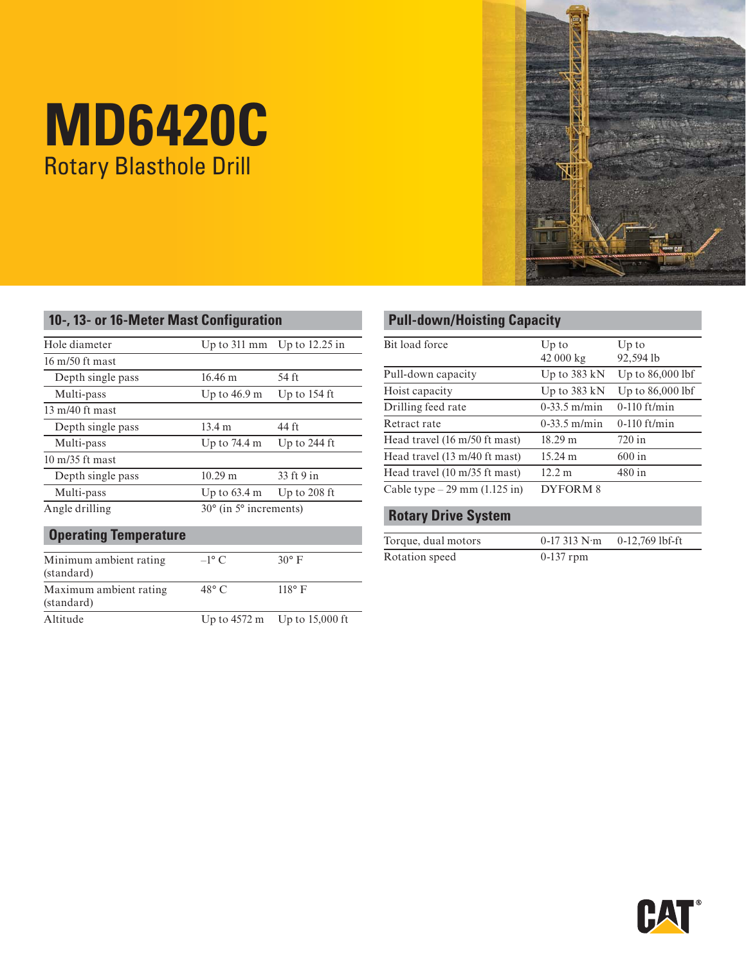# **MD6420C** Rotary Blasthole Drill

| 医医院 |     |
|-----|-----|
|     |     |
|     |     |
|     |     |
|     | PA. |

| Hole diameter             | Up to $311 \text{ mm}$ | Up to $12.25$ in                          |  |
|---------------------------|------------------------|-------------------------------------------|--|
| $16 \text{ m}/50$ ft mast |                        |                                           |  |
| Depth single pass         | $16.46 \text{ m}$      | 54 ft                                     |  |
| Multi-pass                | Up to 46.9 m           | Up to $154$ ft                            |  |
| $13 \text{ m}/40$ ft mast |                        |                                           |  |
| Depth single pass         | $13.4 \; \mathrm{m}$   | 44 ft                                     |  |
| Multi-pass                | Up to $74.4 \text{ m}$ | Up to $244$ ft                            |  |
| $10 \frac{m}{35}$ ft mast |                        |                                           |  |
| Depth single pass         | $10.29 \text{ m}$      | 33 ft 9 in                                |  |
| Multi-pass                | Up to $63.4 \text{ m}$ | Up to $208$ ft                            |  |
| Angle drilling            |                        | $30^{\circ}$ (in 5 $^{\circ}$ increments) |  |

| Minimum ambient rating<br>(standard) | $-1^\circ$ C   | $30^\circ$ F                                     |
|--------------------------------------|----------------|--------------------------------------------------|
| Maximum ambient rating<br>(standard) | $48^{\circ}$ C | $118^\circ$ F                                    |
| Altitude                             |                | Up to $4572 \text{ m}$ Up to $15,000 \text{ ft}$ |

# **Pull-down/Hoisting Capacity**

| Up to                  | Up to              |
|------------------------|--------------------|
| 42 000 kg              | 92,594 lb          |
| Up to $383 \text{ kN}$ | Up to $86,000$ lbf |
| Up to $383 \text{ kN}$ | Up to $86,000$ lbf |
| $0 - 33.5$ m/min       | $0-110$ ft/min     |
| $0-33.5$ m/min         | $0-110$ ft/min     |
| $18.29 \text{ m}$      | $720$ in           |
| $15.24 \text{ m}$      | $600$ in           |
| 12.2 m                 | $480$ in           |
| DYFORM <sub>8</sub>    |                    |
|                        |                    |

## **Rotary Drive System**

| Torque, dual motors | $0-17313 \text{ N} \cdot \text{m}$ | 0-12,769 lbf-ft |
|---------------------|------------------------------------|-----------------|
| Rotation speed      | $0-137$ rpm                        |                 |

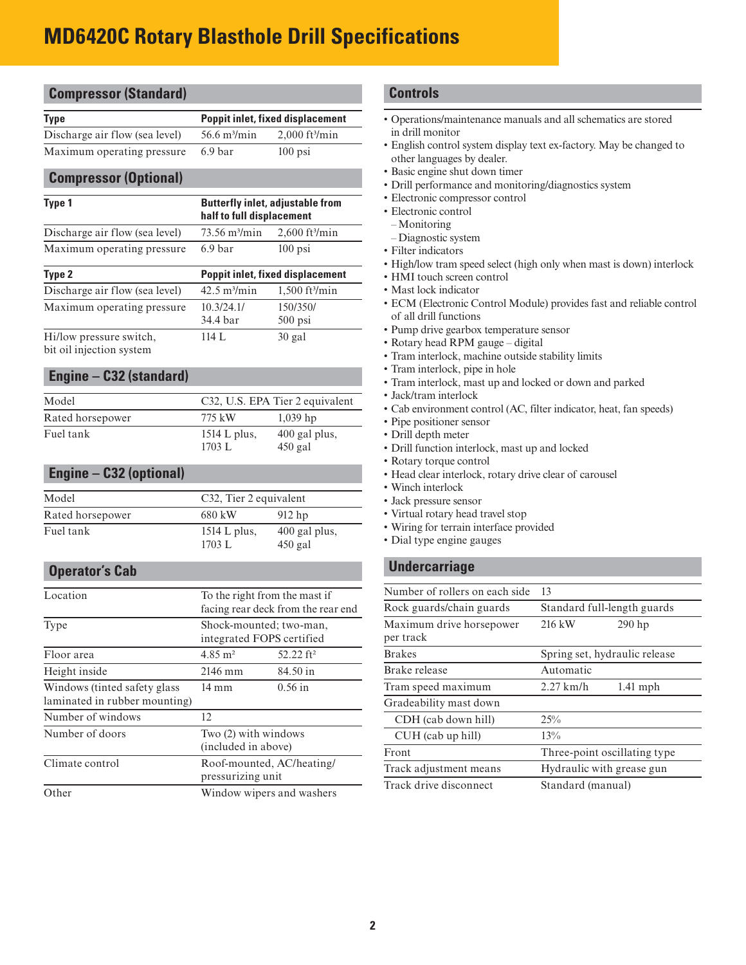# **MD6420C Rotary Blasthole Drill Specifications**

| <b>Type</b>                                         |                                             | <b>Poppit inlet, fixed displacement</b> |
|-----------------------------------------------------|---------------------------------------------|-----------------------------------------|
| Discharge air flow (sea level)                      | 56.6 m <sup>3</sup> /min                    | 2,000 ft <sup>3</sup> /min              |
| Maximum operating pressure                          | 6.9 bar                                     | $100$ psi                               |
| <b>Compressor (Optional)</b>                        |                                             |                                         |
| Type 1                                              |                                             | <b>Butterfly inlet, adjustable from</b> |
|                                                     | half to full displacement                   |                                         |
| Discharge air flow (sea level)                      | 73.56 m <sup>3</sup> /min                   | $2,600$ ft <sup>3</sup> /min            |
| Maximum operating pressure                          | 6.9 bar                                     | $100$ psi                               |
| Type 2                                              |                                             | <b>Poppit inlet, fixed displacement</b> |
| Discharge air flow (sea level)                      | $42.5 \text{ m}^3/\text{min}$               | 1,500 ft <sup>3</sup> /min              |
| Maximum operating pressure                          | 10.3/24.1/                                  | 150/350/                                |
|                                                     | 34.4 bar                                    | 500 psi                                 |
| Hi/low pressure switch,<br>bit oil injection system | 114 L                                       | $30$ gal                                |
|                                                     |                                             |                                         |
| Engine - C32 (standard)                             |                                             |                                         |
| Model                                               |                                             |                                         |
| Rated horsepower                                    | 775 kW                                      | C32, U.S. EPA Tier 2 equivalent         |
| Fuel tank                                           |                                             | $1,039$ hp                              |
|                                                     | 1514 L plus,<br>1703 L                      | 400 gal plus,<br>$450$ gal              |
|                                                     |                                             |                                         |
| <b>Engine - C32 (optional)</b>                      |                                             |                                         |
| Model                                               | C32, Tier 2 equivalent                      |                                         |
| Rated horsepower                                    | 680 kW                                      | $912$ hp                                |
| Fuel tank                                           | 1514 L plus,                                | 400 gal plus,                           |
|                                                     | 1703 L                                      | $450$ gal                               |
| <b>Operator's Cab</b>                               |                                             |                                         |
| Location                                            | To the right from the mast if               |                                         |
|                                                     |                                             | facing rear deck from the rear end      |
| Type                                                | Shock-mounted; two-man,                     |                                         |
|                                                     | integrated FOPS certified                   |                                         |
| Floor area                                          | $4.85 \text{ m}^2$                          | 52.22 ft <sup>2</sup>                   |
| Height inside                                       | 2146 mm                                     | 84.50 in                                |
| Windows (tinted safety glass                        | 14 mm                                       | $0.56$ in                               |
| laminated in rubber mounting)                       |                                             |                                         |
| Number of windows                                   | 12                                          |                                         |
| Number of doors                                     | Two (2) with windows<br>(included in above) |                                         |
| Climate control                                     | Roof-mounted, AC/heating/                   |                                         |
|                                                     | pressurizing unit                           |                                         |
| Other                                               |                                             | Window wipers and washers               |

#### 'ols

- tions/maintenance manuals and all schematics are stored monitor
- h control system display text ex-factory. May be changed to languages by dealer.
- engine shut down timer
- erformance and monitoring/diagnostics system
- onic compressor control
- onic control
- itoring
- mostic system
- indicators
- low tram speed select (high only when mast is down) interlock
- touch screen control
- lock indicator
- (Electronic Control Module) provides fast and reliable control drill functions
- drive gearbox temperature sensor
- y head RPM gauge digital
- interlock, machine outside stability limits
- interlock, pipe in hole
- interlock, mast up and locked or down and parked
- ram interlock
- nvironment control (AC, filter indicator, heat, fan speeds)
- ositioner sensor
- lepth meter
- unction interlock, mast up and locked
- y torque control
- clear interlock, rotary drive clear of carousel
- interlock
- ressure sensor
- I rotary head travel stop
- g for terrain interface provided
- ype engine gauges

#### **rcarriage**

| Number of rollers on each side        | 13                            |  |
|---------------------------------------|-------------------------------|--|
| Rock guards/chain guards              | Standard full-length guards   |  |
| Maximum drive horsepower<br>per track | $216$ kW<br>$290$ hp          |  |
| <b>Brakes</b>                         | Spring set, hydraulic release |  |
| Brake release                         | Automatic                     |  |
| Tram speed maximum                    | $2.27$ km/h<br>$1.41$ mph     |  |
| Gradeability mast down                |                               |  |
| CDH (cab down hill)                   | 25%                           |  |
| CUH (cab up hill)                     | 13%                           |  |
| Front                                 | Three-point oscillating type  |  |
| Track adjustment means                | Hydraulic with grease gun     |  |
| Track drive disconnect                | Standard (manual)             |  |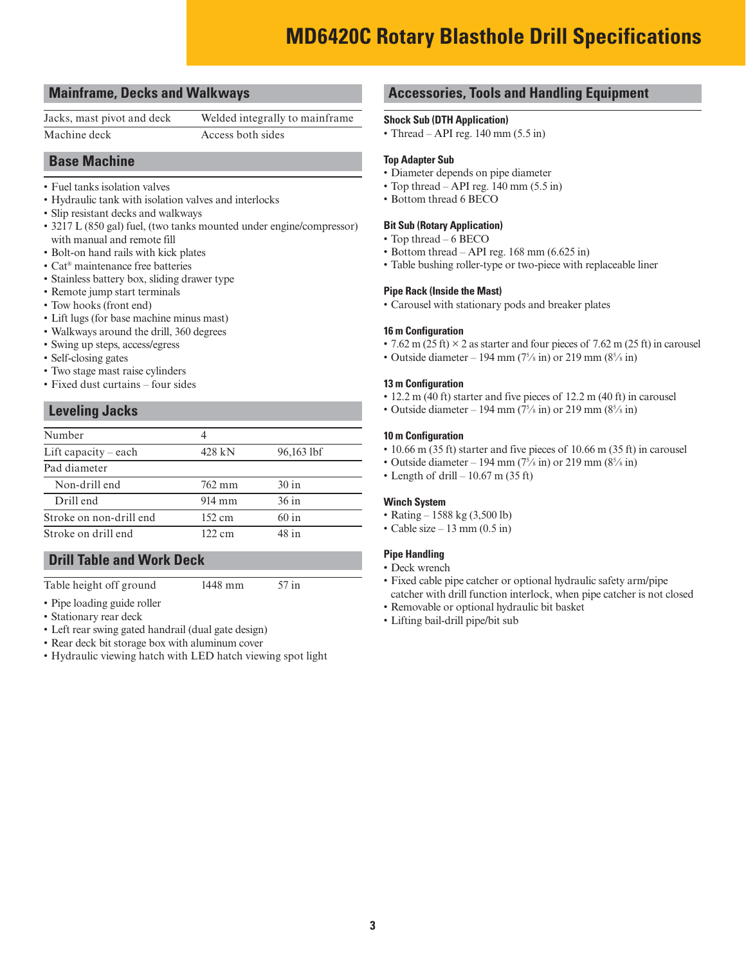# **MD6420C Rotary Blasthole Drill Specifications**

#### **Mainframe, Decks and Walkways**

Machine deck Access both sides

Jacks, mast pivot and deck Welded integrally to mainframe

#### **Base Machine**

- Fuel tanks isolation valves
- Hydraulic tank with isolation valves and interlocks
- Slip resistant decks and walkways
- 3217 L (850 gal) fuel, (two tanks mounted under engine/compressor) with manual and remote fill
- Bolt-on hand rails with kick plates
- Cat® maintenance free batteries
- Stainless battery box, sliding drawer type
- Remote jump start terminals
- Tow hooks (front end)
- Lift lugs (for base machine minus mast)
- Walkways around the drill, 360 degrees
- Swing up steps, access/egress
- Self-closing gates
- Two stage mast raise cylinders
- Fixed dust curtains four sides

#### **Leveling Jacks**

| Number                  | 4                |            |
|-------------------------|------------------|------------|
| Lift capacity $-$ each  | 428 kN           | 96,163 lbf |
| Pad diameter            |                  |            |
| Non-drill end           | 762 mm           | 30 in      |
| Drill end               | $914 \text{ mm}$ | 36 in      |
| Stroke on non-drill end | $152 \text{ cm}$ | 60 in      |
| Stroke on drill end     | $122 \text{ cm}$ | 48 in      |

#### **Drill Table and Work Deck**

Table height off ground 1448 mm 57 in

- Pipe loading guide roller
- Stationary rear deck
- Left rear swing gated handrail (dual gate design)
- Rear deck bit storage box with aluminum cover
- Hydraulic viewing hatch with LED hatch viewing spot light

#### **Accessories, Tools and Handling Equipment**

#### **Shock Sub (DTH Application)**

• Thread – API reg.  $140 \text{ mm} (5.5 \text{ in})$ 

#### **Top Adapter Sub**

- Diameter depends on pipe diameter
- Top thread API reg.  $140 \text{ mm} (5.5 \text{ in})$
- Bottom thread 6 BECO

#### **Bit Sub (Rotary Application)**

- Top thread 6 BECO
- Bottom thread API reg. 168 mm (6.625 in)
- Table bushing roller-type or two-piece with replaceable liner

#### **Pipe Rack (Inside the Mast)**

• Carousel with stationary pods and breaker plates

#### **16 m Configuration**

- 7.62 m (25 ft)  $\times$  2 as starter and four pieces of 7.62 m (25 ft) in carousel
- Outside diameter 194 mm  $(7\frac{5}{8} \text{ in})$  or 219 mm  $(8\frac{5}{8} \text{ in})$

#### **13 m Configuration**

- 12.2 m (40 ft) starter and five pieces of 12.2 m (40 ft) in carousel
- Outside diameter 194 mm  $(7\frac{5}{8}$  in) or 219 mm  $(8\frac{5}{8}$  in)

#### **10 m Configuration**

- 10.66 m (35 ft) starter and five pieces of 10.66 m (35 ft) in carousel
- Outside diameter 194 mm  $(7\frac{5}{8}$  in) or 219 mm  $(8\frac{5}{8}$  in)
- Length of drill  $-10.67$  m (35 ft)

#### **Winch System**

- Rating 1588 kg (3,500 lb)
- Cable size 13 mm  $(0.5 \text{ in})$

#### **Pipe Handling**

- Deck wrench
- Fixed cable pipe catcher or optional hydraulic safety arm/pipe catcher with drill function interlock, when pipe catcher is not closed
- Removable or optional hydraulic bit basket
- Lifting bail-drill pipe/bit sub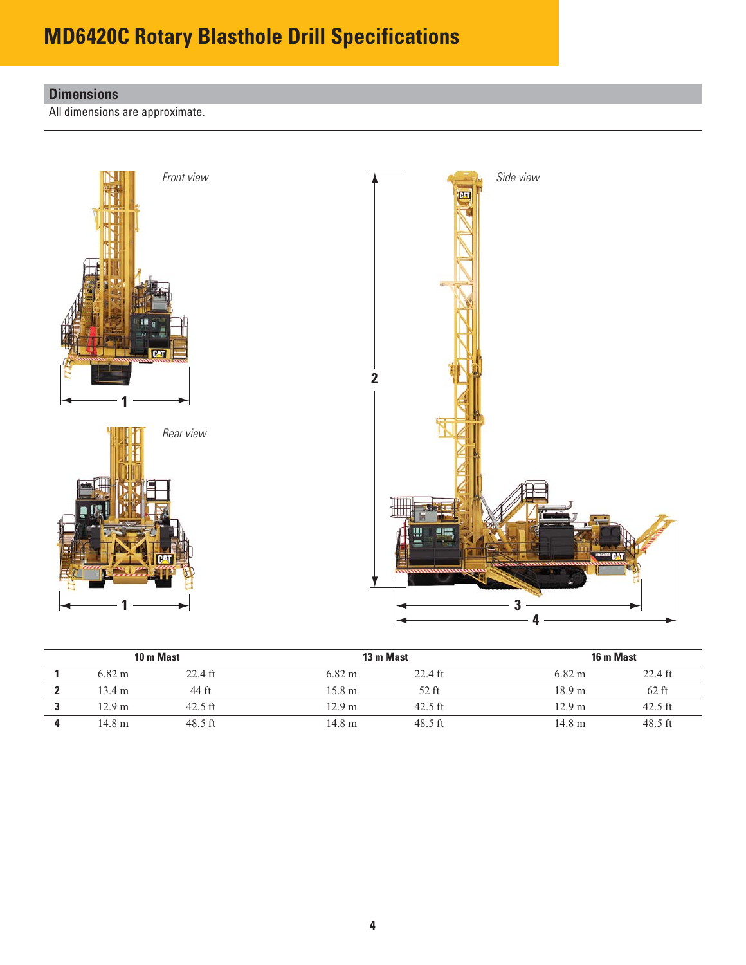# **MD6420C Rotary Blasthole Drill Specifications**

# **Dimensions**

All dimensions are approximate.



|                  | 10 m Mast | 13 m Mast         |           | 16 m Mast        |           |
|------------------|-----------|-------------------|-----------|------------------|-----------|
| $6.82 \text{ m}$ | 22.4 ft   | $6.82 \text{ m}$  | $22.4$ ft | $6.82 \text{ m}$ | $22.4$ ft |
| 13.4 m           | 44 ft     | 15.8 m            | 52 ft     | 18.9 m           | $62$ ft   |
| 12.9 m           | $42.5$ ft | 12.9 m            | $42.5$ ft | 12.9 m           | $42.5$ ft |
| 14.8 m           | $48.5$ ft | 14.8 <sub>m</sub> | $48.5$ ft | 14.8 m           | $48.5$ ft |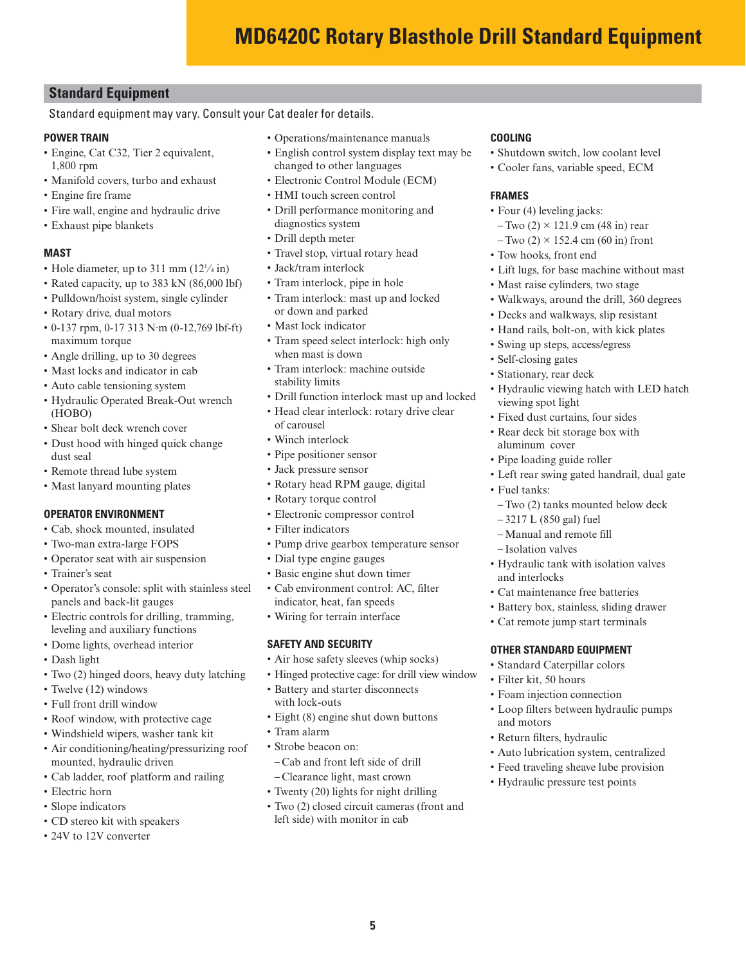### **Standard Equipment**

#### Standard equipment may vary. Consult your Cat dealer for details.

#### **POWER TRAIN**

- Engine, Cat C32, Tier 2 equivalent, 1,800 rpm
- Manifold covers, turbo and exhaust
- Engine fire frame
- Fire wall, engine and hydraulic drive
- Exhaust pipe blankets

#### **MAST**

- Hole diameter, up to 311 mm  $(12<sup>1</sup>/4 \text{ in})$
- Rated capacity, up to 383 kN (86,000 lbf)
- Pulldown/hoist system, single cylinder
- Rotary drive, dual motors
- 0-137 rpm, 0-17 313 N·m (0-12,769 lbf-ft) maximum torque
- Angle drilling, up to 30 degrees
- Mast locks and indicator in cab
- Auto cable tensioning system
- Hydraulic Operated Break-Out wrench (HOBO)
- Shear bolt deck wrench cover
- Dust hood with hinged quick change dust seal
- Remote thread lube system
- Mast lanyard mounting plates

#### **OPERATOR ENVIRONMENT**

- Cab, shock mounted, insulated
- Two-man extra-large FOPS
- Operator seat with air suspension
- Trainer's seat
- Operator's console: split with stainless steel panels and back-lit gauges
- Electric controls for drilling, tramming, leveling and auxiliary functions
- Dome lights, overhead interior
- Dash light
- Two (2) hinged doors, heavy duty latching
- Twelve (12) windows
- Full front drill window
- Roof window, with protective cage
- Windshield wipers, washer tank kit
- Air conditioning/heating/pressurizing roof mounted, hydraulic driven
- Cab ladder, roof platform and railing
- Electric horn
- Slope indicators
- CD stereo kit with speakers
- 24V to 12V converter
- Operations/maintenance manuals
- English control system display text may be
- changed to other languages • Electronic Control Module (ECM)
- HMI touch screen control
- 
- Drill performance monitoring and diagnostics system • Drill depth meter
- Travel stop, virtual rotary head
- Jack/tram interlock
- Tram interlock, pipe in hole
- Tram interlock: mast up and locked or down and parked
- Mast lock indicator
- Tram speed select interlock: high only when mast is down
- Tram interlock: machine outside stability limits
- Drill function interlock mast up and locked
- Head clear interlock: rotary drive clear of carousel
- Winch interlock
- Pipe positioner sensor
- Jack pressure sensor
- Rotary head RPM gauge, digital
- Rotary torque control
- Electronic compressor control
- Filter indicators
- Pump drive gearbox temperature sensor
- Dial type engine gauges
- Basic engine shut down timer
- Cab environment control: AC, filter indicator, heat, fan speeds
- Wiring for terrain interface

#### **SAFETY AND SECURITY**

- Air hose safety sleeves (whip socks)
- Hinged protective cage: for drill view window
- Battery and starter disconnects with lock-outs
- Eight (8) engine shut down buttons
- Tram alarm
- Strobe beacon on: – Cab and front left side of drill – Clearance light, mast crown
- Twenty (20) lights for night drilling
- Two (2) closed circuit cameras (front and left side) with monitor in cab

**5**

#### **COOLING**

- Shutdown switch, low coolant level
- Cooler fans, variable speed, ECM

#### **FRAMES**

- Four (4) leveling jacks:
- $-Two(2) \times 121.9$  cm (48 in) rear
- $-Two$  (2)  $\times$  152.4 cm (60 in) front
- Tow hooks, front end
- Lift lugs, for base machine without mast
- Mast raise cylinders, two stage
- Walkways, around the drill, 360 degrees
- Decks and walkways, slip resistant
- Hand rails, bolt-on, with kick plates
- Swing up steps, access/egress
- Self-closing gates
- Stationary, rear deck
- Hydraulic viewing hatch with LED hatch viewing spot light
- Fixed dust curtains, four sides
- Rear deck bit storage box with aluminum cover
- Pipe loading guide roller

– 3217 L (850 gal) fuel – Manual and remote fill – Isolation valves

• Fuel tanks:

and interlocks

• Filter kit, 50 hours • Foam injection connection

• Return filters, hydraulic

and motors

• Left rear swing gated handrail, dual gate

–Two (2) tanks mounted below deck

• Hydraulic tank with isolation valves

• Cat maintenance free batteries • Battery box, stainless, sliding drawer • Cat remote jump start terminals

**OTHER STANDARD EQUIPMENT** • Standard Caterpillar colors

• Loop filters between hydraulic pumps

• Auto lubrication system, centralized • Feed traveling sheave lube provision • Hydraulic pressure test points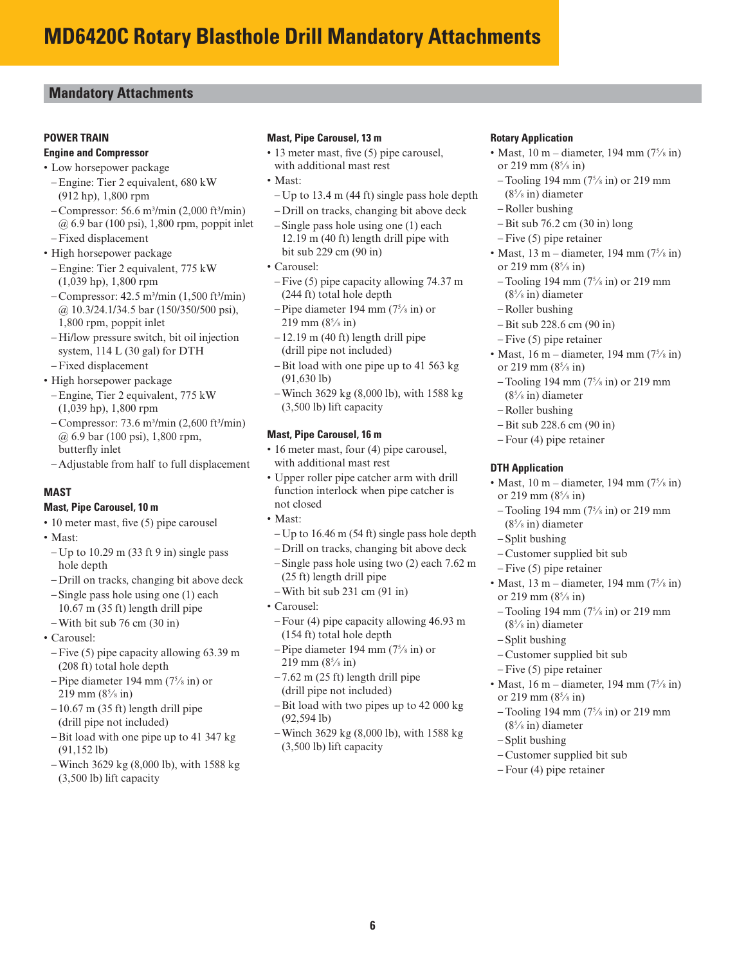### **Mandatory Attachments**

#### **POWER TRAIN**

#### **Engine and Compressor**

- Low horsepower package
- –Engine: Tier 2 equivalent, 680 kW (912 hp), 1,800 rpm
- $-$  Compressor: 56.6 m<sup>3</sup>/min (2,000 ft<sup>3</sup>/min) @ 6.9 bar (100 psi), 1,800 rpm, poppit inlet
- –Fixed displacement
- High horsepower package
- –Engine: Tier 2 equivalent, 775 kW (1,039 hp), 1,800 rpm
- $-$  Compressor: 42.5 m<sup>3</sup>/min (1,500 ft<sup>3</sup>/min) @ 10.3/24.1/34.5 bar (150/350/500 psi), 1,800 rpm, poppit inlet
- Hi/low pressure switch, bit oil injection system, 114 L (30 gal) for DTH
- –Fixed displacement
- High horsepower package
- –Engine, Tier 2 equivalent, 775 kW (1,039 hp), 1,800 rpm
- $-$  Compressor: 73.6 m<sup>3</sup>/min (2,600 ft<sup>3</sup>/min) @ 6.9 bar (100 psi), 1,800 rpm, butterfly inlet
- Adjustable from half to full displacement

#### **MAST**

#### **Mast, Pipe Carousel, 10 m**

- $\cdot$  10 meter mast, five (5) pipe carousel
- Mast:
- $-Up$  to 10.29 m (33 ft 9 in) single pass hole depth
- Drill on tracks, changing bit above deck
- Single pass hole using one (1) each 10.67 m (35 ft) length drill pipe
- With bit sub 76 cm (30 in)
- Carousel:
- –Five (5) pipe capacity allowing 63.39 m (208 ft) total hole depth
- $-$  Pipe diameter 194 mm (7 $\frac{5}{8}$  in) or 219 mm (85 ⁄8 in)
- $-10.67$  m (35 ft) length drill pipe (drill pipe not included)
- –Bit load with one pipe up to 41 347 kg (91,152 lb)
- Winch 3629 kg (8,000 lb), with 1588 kg (3,500 lb) lift capacity

#### **Mast, Pipe Carousel, 13 m**

- $\cdot$  13 meter mast, five (5) pipe carousel, with additional mast rest
- Mast:
- Up to 13.4 m (44 ft) single pass hole depth
- Drill on tracks, changing bit above deck – Single pass hole using one (1) each 12.19 m (40 ft) length drill pipe with bit sub 229 cm (90 in)
- Carousel:
- –Five (5) pipe capacity allowing 74.37 m (244 ft) total hole depth
- $-$  Pipe diameter 194 mm (7 $\frac{5}{8}$  in) or 219 mm (85 ⁄8 in)
- $-12.19$  m (40 ft) length drill pipe (drill pipe not included)
- –Bit load with one pipe up to 41 563 kg (91,630 lb)
- Winch 3629 kg (8,000 lb), with 1588 kg (3,500 lb) lift capacity

#### **Mast, Pipe Carousel, 16 m**

- 16 meter mast, four (4) pipe carousel, with additional mast rest
- Upper roller pipe catcher arm with drill function interlock when pipe catcher is not closed
- Mast:
- Up to 16.46 m (54 ft) single pass hole depth
- Drill on tracks, changing bit above deck
- Single pass hole using two (2) each 7.62 m (25 ft) length drill pipe
- With bit sub 231 cm (91 in)
- Carousel:
- –Four (4) pipe capacity allowing 46.93 m (154 ft) total hole depth
- $-$ Pipe diameter 194 mm (7 $\frac{5}{8}$  in) or 219 mm (85 ⁄8 in)
- $-7.62$  m (25 ft) length drill pipe (drill pipe not included)
- –Bit load with two pipes up to 42 000 kg (92,594 lb)
- Winch 3629 kg (8,000 lb), with 1588 kg (3,500 lb) lift capacity

#### **Rotary Application**

- Mast, 10 m diameter, 194 mm  $(7\frac{5}{8}$  in) or 219 mm (85 ⁄8 in)
- $-$ Tooling 194 mm  $(7\frac{5}{8}$  in) or 219 mm  $(8<sup>5</sup>/s)$  in diameter
- Roller bushing
- –Bit sub 76.2 cm (30 in) long
- –Five (5) pipe retainer
- Mast,  $13 \text{ m}$  diameter,  $194 \text{ mm}$   $(7\frac{5}{8} \text{ in})$ or 219 mm  $(8^5/s \text{ in})$
- $-$ Tooling 194 mm  $(7\frac{5}{8}$  in) or 219 mm (85 ⁄8 in) diameter
- Roller bushing
- –Bit sub 228.6 cm (90 in)
- –Five (5) pipe retainer
- Mast,  $16 \text{ m}$  diameter,  $194 \text{ mm}$   $(7\frac{5}{8} \text{ in})$ or 219 mm (85 ⁄8 in)
- $-$  Tooling 194 mm  $(7<sup>5</sup>/s)$  in or 219 mm (85 ⁄8 in) diameter
- Roller bushing
- –Bit sub 228.6 cm (90 in)
- –Four (4) pipe retainer

#### **DTH Application**

- Mast,  $10 \text{ m}$  diameter,  $194 \text{ mm}$  ( $7\frac{5}{8}$  in) or 219 mm  $(8^5/s \text{ in})$ 
	- $-$ Tooling 194 mm  $(7\frac{5}{8}$  in) or 219 mm (85 ⁄8 in) diameter
- Split bushing
- Customer supplied bit sub
- –Five (5) pipe retainer
- Mast,  $13 \text{ m}$  diameter,  $194 \text{ mm}$   $(7\frac{5}{8} \text{ in})$ or 219 mm (85 ⁄8 in)
- $-$  Tooling 194 mm  $(7<sup>5</sup>/s)$  in or 219 mm (85 ⁄8 in) diameter
- Split bushing
- Customer supplied bit sub
- –Five (5) pipe retainer
- Mast, 16 m diameter, 194 mm  $(7\frac{5}{8}$  in) or 219 mm (85 ⁄8 in)
- $-$ Tooling 194 mm  $(7\frac{5}{8}$  in) or 219 mm  $(8<sup>5</sup>/s)$  in diameter
- Split bushing
- Customer supplied bit sub
- –Four (4) pipe retainer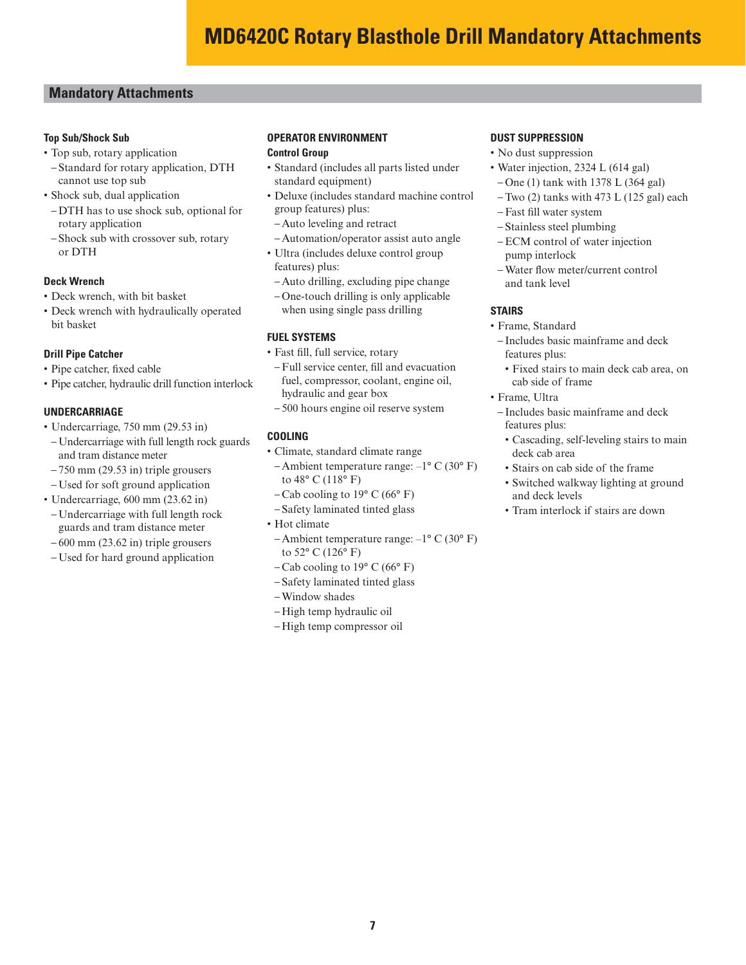### **Mandatory Attachments**

#### **Top Sub/Shock Sub**

- Top sub, rotary application
- Standard for rotary application, DTH cannot use top sub
- Shock sub, dual application
- DTH has to use shock sub, optional for rotary application
- Shock sub with crossover sub, rotary or DTH

#### **Deck Wrench**

- Deck wrench, with bit basket
- Deck wrench with hydraulically operated bit basket

#### **Drill Pipe Catcher**

- Pipe catcher, fixed cable
- Pipe catcher, hydraulic drill function interlock

#### **UNDERCARRIAGE**

- Undercarriage, 750 mm (29.53 in)
- Undercarriage with full length rock guards and tram distance meter
- $-750$  mm (29.53 in) triple grousers
- Used for soft ground application
- Undercarriage, 600 mm (23.62 in)
- Undercarriage with full length rock guards and tram distance meter
- 600 mm (23.62 in) triple grousers
- Used for hard ground application

# **OPERATOR ENVIRONMENT**

#### **Control Group**

- Standard (includes all parts listed under standard equipment)
- Deluxe (includes standard machine control group features) plus:
- Auto leveling and retract
- Automation/operator assist auto angle
- Ultra (includes deluxe control group features) plus:
- Auto drilling, excluding pipe change
- One-touch drilling is only applicable when using single pass drilling

#### **FUEL SYSTEMS**

- Fast fill, full service, rotary
- Full service center, fill and evacuation fuel, compressor, coolant, engine oil, hydraulic and gear box
- 500 hours engine oil reserve system

#### **COOLING**

- Climate, standard climate range
- Ambient temperature range: –1° C (30° F) to 48° C (118° F)
- $-Cab$  cooling to 19 $\degree$  C (66 $\degree$  F)
- Safety laminated tinted glass
- Hot climate
- Ambient temperature range:  $-1^{\circ}$  C (30° F) to 52° C (126° F)
- Cab cooling to  $19^{\circ}$  C (66 $^{\circ}$  F)
- Safety laminated tinted glass
- Window shades
- High temp hydraulic oil
- High temp compressor oil

#### **DUST SUPPRESSION**

- No dust suppression
- Water injection, 2324 L (614 gal) – One (1) tank with 1378 L (364 gal)
	- –Two (2) tanks with 473 L (125 gal) each
	- Fast fill water system
	- Stainless steel plumbing
	- –ECM control of water injection pump interlock
	- Water flow meter/current control and tank level

#### **STAIRS**

- Frame, Standard
- Includes basic mainframe and deck features plus:
- Fixed stairs to main deck cab area, on cab side of frame
- Frame, Ultra
	- Includes basic mainframe and deck features plus:
	- Cascading, self-leveling stairs to main deck cab area
	- Stairs on cab side of the frame
	- Switched walkway lighting at ground and deck levels
	- Tram interlock if stairs are down